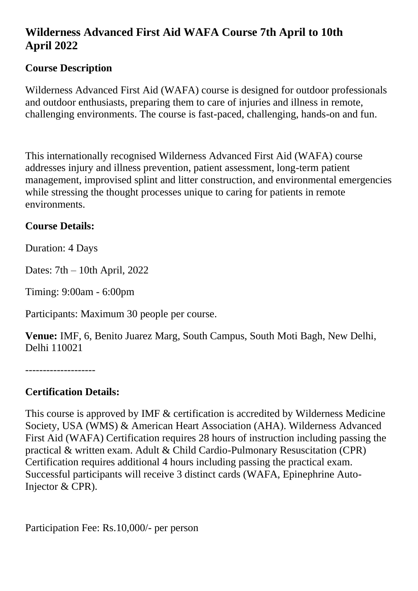## **Wilderness Advanced First Aid WAFA Course 7th April to 10th April 2022**

## **Course Description**

Wilderness Advanced First Aid (WAFA) course is designed for outdoor professionals and outdoor enthusiasts, preparing them to care of injuries and illness in remote, challenging environments. The course is fast-paced, challenging, hands-on and fun.

This internationally recognised Wilderness Advanced First Aid (WAFA) course addresses injury and illness prevention, patient assessment, long-term patient management, improvised splint and litter construction, and environmental emergencies while stressing the thought processes unique to caring for patients in remote environments.

## **Course Details:**

Duration: 4 Days

Dates: 7th – 10th April, 2022

Timing: 9:00am - 6:00pm

Participants: Maximum 30 people per course.

**Venue:** IMF, 6, Benito Juarez Marg, South Campus, South Moti Bagh, New Delhi, Delhi 110021

--------------------

## **Certification Details:**

This course is approved by IMF & certification is accredited by Wilderness Medicine Society, USA (WMS) & American Heart Association (AHA). Wilderness Advanced First Aid (WAFA) Certification requires 28 hours of instruction including passing the practical & written exam. Adult & Child Cardio-Pulmonary Resuscitation (CPR) Certification requires additional 4 hours including passing the practical exam. Successful participants will receive 3 distinct cards (WAFA, Epinephrine Auto-Injector & CPR).

Participation Fee: Rs.10,000/- per person